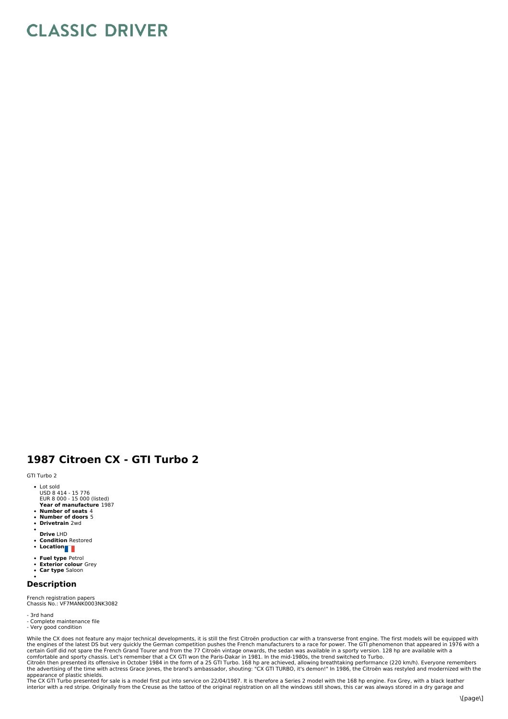## **CLASSIC DRIVER**

## **1987 Citroen CX - GTI Turbo 2**

GTI Turbo 2

- Lot sold
- USD 8 414 15 776 EUR 8 000 15 000 (listed)
- **Year of manufacture** 1987 **Number of seats** 4
- 
- **Number of doors** 5 **Drivetrain** 2wd
- **Drive** LHD
- **Condition** Restored  $\bullet$
- **Location**
- 
- **Fuel type** Petrol **Exterior colour** Grey
- **Car type** Saloon

## **Description**

French registration papers<br>Chassis No.: VF7MANK0003NK3082

## - 3rd hand

- Complete maintenance file
- Very good condition

While the CX does not feature any major technical developments, it is still the first Citroën production car with a transverse front engine. The first models will be equipped with the engines of the latest DS but very quickly the German competition pushes the French manufacturers to a race for power. The GTI phenomenon that appeared in 1976 with a<br>certain Golf did not spare the French Grand Tourer a

appearance of plastic shields.<br>The CX GTI Turbo presented for sale is a model first put into service on 22/04/1987. It is therefore a Series 2 model with the 168 hp engine. Fox Grey, with a black leather<br>interior with a re